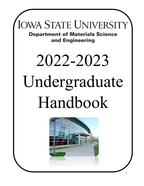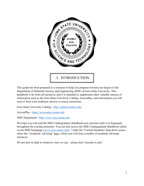

This guide has been prepared as a resource to help you progress toward your degree in the Department of Materials Science and Engineering (MSE) at Iowa State University. This handbook is far from all-inclusive, and it is intended to supplement other valuable sources of information such as the Iowa State University Catalog, AccessPlus, and information you will receive from your academic advisor or course instructors.

Iowa State University Catalog -<http://catalog.iastate.edu/>

AccessPlus - [https://accessplus.iastate.edu](https://accessplus.iastate.edu/) 

MSE Department - [http://www.mse.iastate.edu](http://www.mse.iastate.edu/)

We hope you will read the MSE Undergraduate Handbook now and also refer to it frequently throughout the coming semesters. You can also access the MSE Undergraduate Handbook online on the MSE homepage [\(www.mse.iastate.edu\)](http://www.mse.iastate.edu/). Under the "Current Students" drop-down menu, select the "Academic Advising" page, where you will find a number of academic advising resources.

We are here to help in whatever ways we can – please don't hesitate to ask!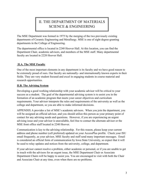# II. THE DEPARTMENT OF MATERIALS SCIENCE & ENGINEERING

The MSE Department was formed in 1975 by the merging of the two previously existing departments of Ceramic Engineering and Metallurgy. MSE is one of eight degree-granting departments in the College of Engineering.

The departmental office is located in 2240 Hoover Hall. At this location, you can find the Department Chair, academic advisors, and members of the MSE staff. Many departmental faculty are located in 2220 Hoover Hall.

## **II.A. The MSE Faculty**

One of the most important elements in any department is its faculty and we have good reason to be extremely proud of ours. Our faculty are nationally- and internationally known experts in their fields. They are very student focused and excel in engaging students in course material and research opportunities.

### **II.B. The Advising System**

Developing a good working relationship with your academic advisor will be critical to your success as a student. The goal of the departmental advising system is to assist you in the formation of an academic program that meets your career objectives and curriculum requirements. Your advisor interprets the rules and requirements of the university as well as the college and department, so you are able to make informed decisions.

APPENDIX A provides a list of MSE's academic advisors. When you join the department, you will be assigned an official advisor, and you should utilize this person as your primary point of contact for any advising needs and questions. However, if you are experiencing an urgent advising issue and your advisor is unavailable, feel free to contact the alternate advisor or the MSE front office staff located in 2240 Hoover.

Communication is key to the advising relationship. For this reason, please keep your current address and phone number (cell preferred) updated on your AccessPlus profile. Check your ISU email frequently, as your advisor, MSE faculty and staff send many important messages. Email is considered an official form of communication by Iowa State University, so expect that it will be used to relay updates and notices from the university, college, and department.

If your advisor cannot resolve a problem, either academic or personal, or if you are unable to get in touch with the advisors for an urgent issue, the MSE Department Chair or Associate Department Chairs will be happy to assist you. You are encouraged to visit with both the Chair and Associate Chair at any time, even when there are no problems.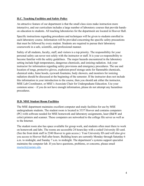### **II.C. Teaching Facilities and Safety Policy**

An attractive feature of our department is that the small class sizes make instruction more interactive, and our curriculum includes a large number of laboratory courses that provide handson education to students. All teaching laboratories for the department are located in Hoover Hall.

Specific instructions regarding procedures and techniques will be given to students enrolled in each laboratory course. Information will be provided concerning the specific safety precautions that must be followed by every student. Students are required to pursue their laboratory coursework in a safe, scientific, and professional manner.

Safety of all students, faculty, staff, and visitors is a top priority. The responsibility for your personal safety can never rest solely with the instructor or staff. It is your co-responsibility to become familiar with the safety guidelines. The major hazards encountered in the laboratory setting include high temperatures, dangerous chemicals, and ionizing radiation. Ask your instructor for information regarding safety provisions and emergency procedures. The use and location of tongs, protective gloves, explosion-proof storage units for flammable chemicals, chemical sinks, fume hoods, eyewash fountains, body showers, and monitors for ionizing radiation should be discussed at the beginning of the semester. If the instructor does not include this information in your introduction to the course, then you should ask either the instructor, MSE Lab Coordinator, or MSE's Associate Chair for Undergraduate Education. Use your common sense – if you do not have enough information, please do not attempt any hazardous procedures.

## **II.D. MSE Student Room Facilities**

The MSE department maintains excellent computer and study facilities for use by MSE undergraduate students. The student room is located in 3337 Hoover and contains computers (PC) with software needed for MSE homework and laboratory assignments, laser (B&W and color) printers and scanner. These computers are networked to the college file server as well as to the Internet.

The student room also has space available for group work, and students often meet there to work on homework and labs. The rooms are accessible 24 hours/day with a coded University ID card. (See the front desk staff in 2240 Hoover to gain access.) Your University ID card will also give you access to Hoover Hall after hours. Building hours are currently Monday through Saturday 6 a.m. to midnight, and Sunday 7 a.m. to midnight. The department's systems support specialist maintains the computer lab. If you have questions, problems, or concerns, please email [msetech@iastate.edu.](mailto:msetech@iastate.edu)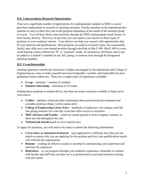## **II.E. Undergraduate Research Opportunities**

There are a significant number of opportunities for undergraduate students in MSE to secure part-time employment as research or teaching assistants. Faculty members in the department hire students as early as their first year in the program depending on the needs of the research group or course. You will hear about some positions through the MSE undergraduate email listserv or from faculty directly. However, at any time you can express your interest in these types of positions to your academic advisor. Your advisor can help you connect with opportunities that fit your interests and qualifications. Most positions are paid on an hourly basis, but occasionally faculty may offer you a non-funded position through enrolling in Mat E 499. Mat E 499 is a noncredit bearing course (offered for "R" or "required" credit, on satisfactory-fail basis), and it can be added to a student's schedule in any fall, spring, or summer term through the designated add/drop deadline.

### **II.F. Co-op/Internships**

Gaining experience outside the classroom is highly encouraged by the department and College of Engineering as a way to make yourself more knowledgeable, versatile, and marketable for postgraduation career endeavors. There are a couple types of experiences available:

- $Co-op semester + summer (6 months)$
- **Summer Internship** minimum of 10 weeks

Finding these positions is student-driven, but there are many resources available to help you in your search:

- **CyHire** database which provides information about professional development and available positions (https://cyhire.iastate.edu/)
- **College of Engineering Career Fairs** hundreds of employers visit campus each fall and spring semester for a one-day event that offers access to recruiters
- **MSE Advisors and Faculty** watch for emails passed on from company contacts, as these are sent throughout the year
- **National job boards (**such as www.indeed.com)

To apply for positions, you will need to be ready to submit the following information:

- **Cover letter or statement of interest** each application is different, but often you are asked to express why you are applying for the position and how your qualifications match well with the job requirements
- **Resume** creating an effective resume is essential to summarizing your experience and activities for employers
- **References** as you progress through your academic experience, remember to connect with faculty and staff who can later serve as professional or personal references during your job search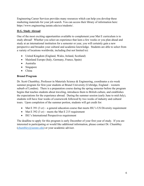Engineering Career Services provides many resources which can help you develop these marketing materials for your job search. You can access their library of information here: https://www.engineering.iastate.edu/ecs/students/.

## **II.G. Study Abroad**

One of the most exciting opportunities available to complement your Mat E curriculum is to study abroad! Whether you select an experience that lasts a few weeks or you plan ahead and study at an international institution for a semester or year, you will certainly gain a new perspective and broaden your cultural and academic knowledge. Students are able to select from a variety of locations worldwide, including (but not limited to):

- United Kingdom (England, Wales, Ireland, Scotland)
- Mainland Europe (Italy, Germany, France, Spain)
- Australia
- Singapore
- China

## **Brunel Program**

Dr. Scott Chumbley, Professor in Materials Science & Engineering, coordinates a six-week summer program for first-year students at Brunel University (Uxbridge, England – western suburb of London). There is a preparation course during the spring semester before the program begins that teaches students about traveling, introduces them to British culture, and establishes the expectations for the experience abroad. During the summer session (early June to mid-July), students will have four weeks of coursework followed by two weeks of industry and cultural tours. Upon completion of the summer portion, students will get credit for:

- Mat E 391 (3 cr) a general education course that meets ISU's US Diversity requirement
- Mat E 392 (3 cr) meets the Mat E 215 requirement
- ISU's International Perspectives requirement

The deadline to apply for this program is early December of your first year of study. If you are interested in participating or would like additional information, please contact Dr. Chumbley  $(\text{chumbley@iastate.edu})$  or your academic advisor.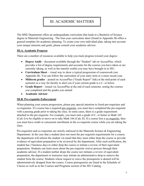## III. ACADEMIC MATTERS

The MSE Department offers an undergraduate curriculum that leads to a Bachelor of Science degree in Materials Engineering. The four-year curriculum sheet (found in Appendix B) offers a general template for academic planning. To create your own individual plan, taking into account your unique interests and goals, please consult your academic advisor.

### **III.A. Academic Progress**

There are a number of resources available to help you track progress toward your degree:

- **Degree Audit** document available through the "Student" tab on AccessPlus, which provides a list of degree requirements and accounts for the courses you have taken or are currently taking, as well as the transfer credits you may have brought in to ISU.
- **Curriculum Sheet** visual way to show a typical progression of coursework (see Appendix B). You can follow the curriculum of your entry term or a more recent year.
- **Midterm grades** posted on AccessPlus ("Grade Report" link) at the mid-point of each semester as a way for faculty to alert you if your current grade is a C- or below
- **Grade Report** issued via AccessPlus at the end of each semester, noting the courses you completed and the grades you earned
- **Academic Advisor**

#### **III.B. Pre-requisite Enforcement**

When planning your course progression, please pay special attention to listed pre-requisites and co-requisites. If a course has a required pre-requisite, you must have completed the pre-requisite with a passing grade prior to taking the class. In some cases, there is a grade requirement attached to the pre-requisite. For example, you must earn a grade of C- or better in Math 165 (Calc I) to be eligible to move on to take Math 166 (Calc II). If a course lists a co-requisite, then you must have credit or concurrent enrollment in the co-requisite course while you are taking the class.

Pre-requisites and co-requisites are strictly enforced in the Materials Science & Engineering Department. In the case that a student does not meet the pre-requisite requirements for a course, the department will inform the student via email that they must either drop the course or provide evidence of equivalent preparation to be reviewed by the department. After such notification, the student has 3 business days to either drop the course or initiate a review of their equivalent preparation. Students can learn more about the pre-requisite waiver process through their academic advisor. If a student neither drops the course nor initiates a review of equivalent preparation, the department or instructor may initiate an administrative drop to remove the student from the course. Students whose request to waive the prerequisite is denied will be administratively dropped from the course. Course prerequisites are listed in the Schedule of Classes as well as in the Courses and Programs section of the ISU Catalog.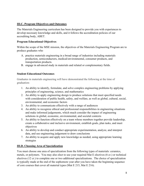## **III.C. Program Objectives and Outcomes**

The Materials Engineering curriculum has been designed to provide you with experiences to develop necessary knowledge and skills, and it follows the accreditation policies of our accrediting body, ABET.

## **Program Educational Objectives**

Within the scope of the MSE mission, the objectives of the Materials Engineering Program are to produce graduates who

- A. practice materials engineering in a broad range of industries including materials production, semiconductors, medical/environmental, consumer products, and transportation products.
- B. engage in advanced study in materials and related or complementary fields.

## **Student Educational Outcomes**

Graduates in materials engineering will have demonstrated the following at the time of graduation:

- 1. An ability to identify, formulate, and solve complex engineering problems by applying principles of engineering, science, and mathematics
- 2. An ability to apply engineering design to produce solutions that meet specified needs with consideration of public health, safety, and welfare, as well as global, cultural, social, environmental, and economic factors
- 3. An ability to communicate effectively with a range of audiences
- 4. An ability to recognize ethical and professional responsibilities in engineering situations and make informed judgements, which much consider the impact of engineering solutions in global, economic, environmental, and societal contexts
- 5. An ability to function effectively on a team whose members together provide leadership, create a collaborative and inclusive environment, establish goals, plan tasks, and meet objectives
- 6. An ability to develop and conduct appropriate experimentation, analyze, and interpret data, and use engineering judgement to draw conclusions
- 7. An ability to acquire and apply new knowledge as needed, using appropriate learning strategies

## **III.D. Choosing Area of Specialization**

You must choose one area of specialization from the following types of materials: ceramics, metals, or polymers. You may also elect to use your required Mat E electives (6 cr.) or technical electives (12 cr.) to complete one or two additional specializations. The choice of specialization is typically made at the end of the sophomore year after you have taken the beginning sequence of core courses that cover all material types (Mat E 215, Mat E 216).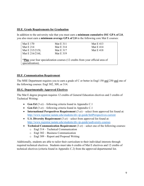#### **III.E. Grade Requirements for Graduation**

In addition to the university rule that you must earn a **minimum cumulative ISU GPA of 2.0**, you also must earn a **minimum average GPA of 2.0** in the following core Mat E courses:

| <b>Mat E</b> 170                                                                     | Mat $E$ 311      | <b>Mat E 413</b> |
|--------------------------------------------------------------------------------------|------------------|------------------|
| Mat $E$ 214                                                                          | <b>Mat E 314</b> | Mat $E$ 414      |
| Mat E 215/215L                                                                       | Mat E 317        | Mat $E$ 418      |
| Mat E 216/216L                                                                       | <b>Mat E 319</b> |                  |
|                                                                                      |                  |                  |
| <i>*Plus</i> your four specialization courses (12 credits from your official area of |                  |                  |
| specialization).                                                                     |                  |                  |

### **III.F. Communication Requirement**

The MSE Department requires you to earn a grade of C or better in Engl 150 and 250 and one of the following courses: Engl 302, 309, or 314.

#### **III.G. Departmentally Approved Electives**

The Mat E degree program requires 12 credits of General Education electives and 3 credits of Technical Writing:

- **Gen Ed** (3 cr) following criteria found in Appendix C.1
- **Gen Ed** (3 cr) following criteria found in Appendix C.1
- **International Perspectives Requirement** (3 cr) select from approved list found at: <http://www.registrar.iastate.edu/students/div-ip-guide/IntlPerspectives-current>
- **U.S. Diversity Requirement** (3 cr) select from approved list found at: <http://www.registrar.iastate.edu/students/div-ip-guide/usdiversity-courses>
- **Technical Communication Requirement** (3 cr) select one of the following courses:
	- o Engl 314 Technical Communication
	- o Engl 302 Business Communication
	- o Engl 309 Report and Proposal Writing

Additionally, students are able to tailor their curriculum to their individual interests through required technical electives. Students must take 6 credits of Mat E electives and 12 credits of technical electives (criteria found in Appendix C.2) from the approved departmental list.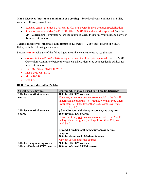**Mat E Electives (must take a minimum of 6 credits)** – 300+ level course in Mat E or MSE, with the following exceptions:

- Students cannot use Mat E 391, Mat E 392, or a course in their declared specialization
- Students cannot use Mat E 490, MSE 590, or MSE 699 without prior approval from the MSE Curriculum Committee before the course is taken. Please see your academic advisor for more information.

**Technical Electives (must take a minimum of 12 credits) – 300+ level course in STEM fields**, with the following exceptions:

Students **cannot** take any of the following to meet the technical elective requirement

- Courses in the 490s/499s/590s in any department without prior approval from the MSE Curriculum Committee before the course is taken. Please see your academic advisor for more information.
- Biol 307 (cross-listed with W S)
- Mat E 391, Mat E 392
- M E 484/584
- Stat  $305$

#### **III.H. Course Substitution Policies**

| Credit deficiency in           | Courses which may be used to fill credit deficiency                                                                                                                                                |
|--------------------------------|----------------------------------------------------------------------------------------------------------------------------------------------------------------------------------------------------|
| 100- level math & science      | 100+ level STEM courses                                                                                                                                                                            |
| course                         | However, it may <b>not</b> be a course remedial to the Mat E<br>undergraduate program (i.e. Math lower than 165, Chem<br>lower than 177, Phys lower than 221, lower level Stat,<br>Com S 103, etc) |
| 200- level math & science      | $\leq$ 3 credits total deficiency across degree program:                                                                                                                                           |
| course                         | 200+ level STEM courses                                                                                                                                                                            |
|                                | However, it may <b>not</b> be a course remedial to the Mat E                                                                                                                                       |
|                                | undergraduate program ( <i>i.e.</i> Phys lower than 221, lower                                                                                                                                     |
|                                | level Stat)                                                                                                                                                                                        |
|                                | Beyond 3 credits total deficiency across degree<br>program:                                                                                                                                        |
|                                | 200+ level courses in Math or Science                                                                                                                                                              |
|                                | May not use Engineering courses                                                                                                                                                                    |
| 200- level engineering course  | 200+ level STEM courses                                                                                                                                                                            |
| 300- or 400- level STEM course | 300- or 400- level STEM courses                                                                                                                                                                    |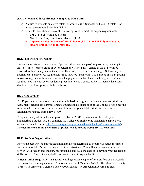#### **(EM 274 + EM 324) requirement changed to Mat E 319**

- $\triangleright$  Applies to students on active catalogs through 2017. Students on the 2018 catalog (or more recent) should take Mat E 319.
- $\triangleright$  Students must choose one of the following ways to meet the degree requirements:
	- **EM 274 (3 cr) + EM 324 (3 cr)**
	- **Mat E 319 (3 cr) + technical elective (3 cr)**
	- **Important note: Only one of Mat E 319 or (EM 274 + EM 324) may be used toward graduation requirements.**

### **III.I. Pass/ Not Pass Grading**

Students may take up to six credits of general education on a pass/not pass basis, meaning that only a P (pass – earned grade of D- or better) or NP (not pass – earned grade of F) will be recorded as their final grade in the course. However, those courses meeting U.S. Diversity and International Perspectives requirements may NOT be taken P/NP. The purpose of P/NP grading is to encourage students to take more challenging courses than their usual program of study requires. You may not be on academic probation to take a course P/NP. If interested, students should discuss this option with their advisor.

#### **III.J. Scholarships**

The Department maintains an outstanding scholarship program for its undergraduate students. Also, many general scholarships open to students in all disciplines of the College of Engineering are available to students in our department. In recent years, Mat E students have received scholarships ranging from \$250-\$7500.

To apply for any of the scholarships offered by the MSE Department or the College of Engineering, a student **MUST** complete the College of Engineering scholarship application, which is available online [\(http://www.engineering.iastate.edu/scholarships/current-students/\)](http://www.engineering.iastate.edu/scholarships/current-students/). **The deadline to submit scholarship applications is around February 1st each year.**

## **III.K. Student Organizations**

One of the best ways to get engaged in materials engineering is to become an active member of one or more of MSE's outstanding student organizations. You will get to know your peers, network with faculty and industry professionals, and have the chance to develop your leadership skills. A list of current student officers can be found in Appendix D.

**Material Advantage (MA)** – an award-winning student chapter of four professional Materials Science & Engineering societies: American Society of Materials (ASM), The Materials Society (TMS), The American Ceramic Society (ACerS), and The Association for Iron & Steel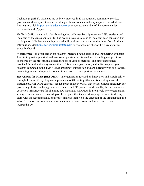Technology (AIST). Students are actively involved in K-12 outreach, community service, professional development, and networking with research and industry experts. For additional information, visit<http://materialadvantage.org/> or contact a member of the current student executive board (Appendix D).

**Gaffer's Guild** – an artistic glass blowing club with membership open to all ISU students and members of the Ames community. The group provides training to members each semester, but participation is limited depending on availability of instructors and studio time. For additional information, visit<http://gaffer.stuorg.iastate.edu/> or contact a member of the current student executive board.

**Metallurgica** - an organization for students interested in the science and engineering of metals. It seeks to provide practical and hands-on opportunities for students, including competitions sponsored by the professional societies, tours of various facilities, and other experiences provided through university connections. It is a new organization, and in its inaugural year, students competed in the TMS "Blade smithing" competition and are currently working towards competing in a metallographic competition as well. New opportunities abound!

**Recyclables for Music (REFORM)** - an organization focused on innovation and sustainability through the lens of recycling waste plastics into 3D printing filament for creating musical instruments. REFORM currently has lab space in Hoover Hall that houses unique machinery for processing plastic, such as grinders, extruders, and 3D printers. Additionally, the lab contains a collection infrastructure for obtaining raw materials. REFORM is a relatively new organization, so any member can take ownership of the projects that they work on, experience a fun-loving team with far-reaching goals, and really make an impact on the direction of the organization as a whole! For more information, contact a member of our current student executive board (Appendix D).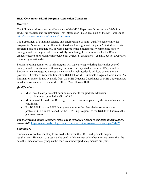## **III.L. Concurrent BS/MS Program Application Guidelines**

## *Overview*

The following information provides details of the MSE Department's concurrent BS/MS or BS/MEng program and requirements. This information is also available on the MSE website at [http://www.mse.iastate.edu/students/concurrent/.](http://www.mse.iastate.edu/students/concurrent/)

The Department of Materials Science and Engineering can admit qualified seniors into the program for "Concurrent Enrollment for Graduate/Undergraduate Degrees." A student in this program pursues a graduate MS or MEng degree while simultaneously completing his/her undergraduate BS degree. After successfully completing the requirements for the BS and graduate degree, the student will receive both degrees at graduation – usually, but not always, on the same graduation date.

Students seeking admission to this program will typically apply during their junior year of undergraduate education or within one year before the expected semester of BS graduation. Students are encouraged to discuss the matter with their academic advisor, potential major professor, Director of Graduate Education (DOGE), or MSE Graduate Program Coordinator. An information packet is also available from the MSE Graduate Coordinator or MSE Undergraduate Academic Advisors in the main MSE Office, 2240 Hoover Hall.

## *Qualifications:*

- Must meet the departmental minimum standards for graduate admission: o Minimum cumulative GPA of 3.0
- Minimum of 90 credits in B.S. degree requirements completed by the time of concurrent enrollment.
- For BS/MS Program: MSE faculty member must be identified to serve as major professor. (This is not needed for the BS/MEng Program, as the DOGE will serve as the graduate mentor.)

## *For information on the necessary forms and information needed to complete an application, please visit:* <https://www.grad-college.iastate.edu/academics/programs/apresults.php?id=75>

## *Coursework*

Students may double-count up to six credits between their B.S. and graduate degree requirements. However, courses may be used in this manner only when they are taken after the date the student officially begins the concurrent undergraduate/graduate program.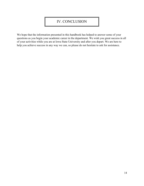## IV. CONCLUSION

We hope that the information presented in this handbook has helped to answer some of your questions as you begin your academic career in the department. We wish you great success in all of your activities while you are at Iowa State University and after you depart. We are here to help you achieve success in any way we can, so please do not hesitate to ask for assistance.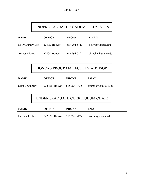# UNDERGRADUATE ACADEMIC ADVISORS

| <b>NAME</b>              | <b>OFFICE</b> | <b>PHONE</b> | <b>EMAIL</b>                |
|--------------------------|---------------|--------------|-----------------------------|
| <b>Holly Dunlay-Lott</b> | 2240D Hoover  | 515-294-5713 | hollyd $\omega$ iastate.edu |
| Andrea Klocke            | 2240K Hoover  | 515-294-0891 | aklocke@iastate.edu         |

HONORS PROGRAM FACULTY ADVISOR

| <b>NAME</b>           | <b>OFFICE</b>                  | <b>PHONE</b> | <b>EMAIL</b>         |
|-----------------------|--------------------------------|--------------|----------------------|
| <b>Scott Chumbley</b> | 2220BN Hoover                  | 515-294-1435 | chumbley@iastate.edu |
|                       | UNDERGRADUATE CURRICULUM CHAIR |              |                      |
| <b>NAME</b>           | <b>OFFICE</b>                  | <b>PHONE</b> | <b>EMAIL</b>         |
| Dr. Pete Collins      | 2220AD Hoover                  | 515-294-5127 | pcollins@iastate.edu |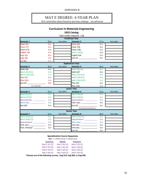APPENDIX B

## MAT E DEGREE: 4-YEAR PLAN

(For curriculum sheets based on previous catalogs – see advisors)

## **Curriculum in Materials Engineering**

#### 2022 Catalog

|                                 |                  |            | Total credits required: 128                                                                                    |                  |            |
|---------------------------------|------------------|------------|----------------------------------------------------------------------------------------------------------------|------------------|------------|
|                                 |                  |            | <b>Freshman Year</b>                                                                                           |                  |            |
| Semester 1                      | 16 cr            | Year taken | Semester 2                                                                                                     | 17 <sub>cr</sub> | Year taken |
| <b>Math 165</b>                 | 4 cr             |            | <b>Math 166</b>                                                                                                | 4 cr             |            |
| <b>Chem 177</b>                 | 4 cr             |            | Chem 178                                                                                                       | 3 cr             |            |
| Chem 177L                       | 1 <sub>cr</sub>  |            | Chem 178L                                                                                                      | 1 cr             |            |
| English 150                     | 3 cr             |            | Mat E 170 (S)                                                                                                  | 3 cr             |            |
| <b>Engr 101</b>                 | R cr             |            | English 250                                                                                                    | 3 cr             |            |
| <b>Engr 160</b>                 | 3 cr             |            | Gen Ed: will be a series of the series of the series of the series of the series of the series of the series o | 3 cr             |            |
| Lib 160                         | 1 <sub>cr</sub>  |            |                                                                                                                |                  |            |
|                                 |                  |            | <b>Sophomore Year</b>                                                                                          |                  |            |
| Semester 3                      | 16 cr            | Year taken | Semester 4                                                                                                     | 16 cr            | Year taken |
| <b>Math 265</b>                 | 4 cr             |            | Mat E 301 (S)                                                                                                  | R cr             |            |
| Mat E 215 (F,S)                 | 3 cr             |            | Math 267                                                                                                       | 4 cr             |            |
| Mat E 215L (F,S)                | 1 <sub>cr</sub>  |            | Mat E 214 (F,S)                                                                                                | 3 cr             |            |
| <b>Phys 231</b>                 | 4 cr             |            | Mat E 216 (F,S)                                                                                                | 3 cr             |            |
| Phys 231L                       | 1 <sub>cr</sub>  |            | Mat E 216L (F,S)                                                                                               | 1cr              |            |
| Gen Ed:                         | 3 cr             |            | <b>Phys 232</b>                                                                                                | 4 cr             |            |
| (U.S. Diversity)                |                  |            | Phys 232L                                                                                                      | 1 cr             |            |
|                                 |                  |            | <b>Junior Year</b>                                                                                             |                  |            |
| Semester 5                      | 15 cr            | Year taken | Semester 6                                                                                                     | 15 <sub>cr</sub> | Year taken |
| Mat E 311 (F)                   | 3 cr             |            | Mat E 314 (S)                                                                                                  | 3 cr             |            |
| Mat E 317 (F)                   | 3 cr             |            | Mat E 319 (S)                                                                                                  | 3 cr             |            |
| Specialization: _____________   | 3 cr             |            | Specialization: __________                                                                                     | 3 cr             |            |
| Mat E elec.: ________________   | 3 cr             |            | Tech. elec.: _______________                                                                                   | 3 cr             |            |
| <b>Stat 305</b>                 | 3 cr             |            | Gen Ed: _____________________                                                                                  | 3 cr             |            |
|                                 |                  |            | (International Perspectives)                                                                                   |                  |            |
|                                 |                  |            | <b>Senior Year</b>                                                                                             |                  |            |
| Semester 7                      | 15 <sub>cr</sub> | Year taken | Semester 8                                                                                                     | 18 <sub>cr</sub> | Year taken |
| Mat E 413 (F,S)                 | 3 cr             |            | Mat E 414 (F,S)                                                                                                | 3 cr             |            |
| Mat E 418 (F,S)                 | 3 cr             |            | Specialization: __________                                                                                     | 3 cr             |            |
| Specialization: ______________  | 3 cr             |            | Mat E elec.: _____________                                                                                     | 3 cr             |            |
| Tech. elec.: __________________ | 3 cr             |            | Tech elec.: _______________                                                                                    | 3 cr             |            |
| Tech. Writing*: __________      | 3 cr             |            | Tech elec.: _______________                                                                                    | 3 cr             |            |
|                                 |                  |            | Gen Ed:                                                                                                        | 3 cr             |            |

#### **Specialization Course Sequences**

|                                                                   | ( <i>Note</i> : $F =$ offered Fall only, $S =$ offered S only) |                 |  |
|-------------------------------------------------------------------|----------------------------------------------------------------|-----------------|--|
| <b>Ceramics</b>                                                   | <b>Metals</b>                                                  | <b>Polymers</b> |  |
| Mat E 321 (F)                                                     | Mat E 341 (F)                                                  | Mat E 351 (F)   |  |
| Mat E 322 (S)                                                     | Mat E 342 (S)                                                  | Mat E 350 (S)   |  |
| Mat E 425 (F)                                                     | Mat E 443 (F)                                                  | Mat E 453 (F)   |  |
| Mat E 433 (S)                                                     | Mat E 444 (S)                                                  | Mat E 454 (S)   |  |
| sees and of the following courses. Fuel 314, Fuel 303, or Fuel 30 |                                                                |                 |  |

\*Choose one of the following courses: Engl 314, Engl 302, or Engl 309.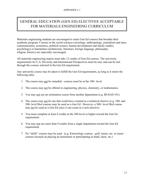# GENERAL EDUCATION (GEN ED) ELECTIVES ACCEPTABLE FOR MATERIALS ENGINEERING CURRICULUM

Materials engineering students are encouraged to select Gen Ed courses that broaden their academic program. Courses in the social sciences (sociology, anthropology, journalism and mass communication, economics, political science, human development and family studies, psychology) or humanities (architecture, literature, foreign language, philosophy, religion, history) are especially encouraged.

All materials engineering majors must take 12 credits of Gen Ed courses. The university requirements for U.S. Diversity and International Perspectives must be met, and can be met through the courses selected in the Gen Ed requirement.

Any university course may be taken to fulfill the Gen Ed requirements, as long as it meets the following rules:

- 1. The course may not be remedial courses must be at the 100+ level.
- 2. The course may not be offered in engineering, physics, chemistry, or mathematics.
- 3. You may not use an orientation course from another department (e.g. BUSAD 101).
- 4. The course may not be one that could have counted as a technical elective (e.g. 100- and 200- level Biol courses may be used as a Gen Ed. However, a 300+ level Biol course may not be used as a Gen Ed since it can count as a tech elective)
- 5. You must complete at least 6 credits at the 200-level or higher toward the Gen Ed requirement.
- 6. You may not use more than 9 credits from a single department toward the Gen Ed requirement.
- 7. No "skills" courses may be used. (e.g. Kinesiology courses golf, tennis, etc. or music courses focused on playing an instrument or participating in band, choir, etc.)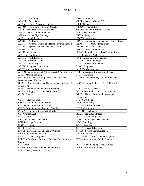| $ACCT - According$                                    | FRNCH - French                               |
|-------------------------------------------------------|----------------------------------------------|
| $ADVRT - \overline{Advertising}$                      | GEOL - Geology (100 or 200 level)            |
| AF AM - African American Studies                      | GER - German                                 |
| AGRON - Agronomy (100 or 200 level)                   | <b>GERON</b> - Gerontology                   |
| AFAS - Air Force Aerospace Studies                    | <b>GLOBE</b> - Global Resource Systems       |
| AM IN - American Indian Studies                       | H S - Health Studies                         |
| ASL - American Sign Language                          | HIST - History                               |
| AN S - Animal Science                                 | HORT - Horticulture                          |
| <b>ANTHR</b> - Anthropology                           | HD FS - Human Development and Family Studies |
| AESHM - Apparel, Events, and Hospitality Management   | HSP M - Hospitality Management               |
| A M D - Apparel, Merchandising and Design             | <b>IND D - Industrial Design</b>             |
| ARABC - Arabic                                        | <b>INTST</b> - International Studies         |
| ARCH - Architecture                                   | JL MC - Journalism and Mass Communication    |
| ART - Art and Design                                  | L A - Landscape Architecture                 |
| <b>ARTED - Art Education</b>                          | LAS - Liberal Arts and Sciences              |
| <b>ARTGR</b> - Graphic Design                         | LATIN - Latin Language                       |
| ART H - Art History                                   | LD ST - Leadership Studies                   |
| <b>ARTIS</b> - Integrated Studio Arts                 | LING - Linguistics                           |
| <b>ARTID</b> - Interior Design                        | MGMT - Management                            |
| ASTRO – Astronomy and Astrophysics (100 or 200 level) | MIS - Management Information Systems         |
| A TR - Athletic Training                              | MKT - Marketing                              |
| BBMB - Biochemistry, Biophysics, and Molecular        | MTEOR - Meteorology (100 or 200 level)       |
| Biology (100 or 200 level)                            |                                              |
| BCBIO - Bioinformatics and Computational Biology (100 | MICRO - Microbiology (100 or 200 level)      |
| or 200 level)                                         |                                              |
| BPM I - Biological/Pre-Medical Illustration           | M S - Military Science                       |
| BIOL - Biology (100 or 200 level) + Biol 307          | MUSIC (see advisor for courses allowed)      |
| CHIN - Chinese                                        | NREM - Natural Resource Ecology and          |
|                                                       | Management                                   |
| CL ST - Classical Studies                             | N S - Naval Science                          |
| <b>CMDIS</b> - Communication Disorders                | PHIL - Philosophy                            |
| <b>COMST</b> - Communication Studies                  | POL S - Political Science                    |
| C R P - Community and Regional Planning               | PORT - Portuguese                            |
| COM S - Computer Science (200 level)                  | PSYCH - Psychology                           |
| C J - Criminal Justice                                | <b>RELIG</b> - Religious Studies             |
| DES - Design                                          | RUS - Russian Language                       |
| DS - Data Science (200 level)                         | SCM - Supply Chain Management                |
| <b>DSN S - Design Studies</b>                         | SOC - Sociology                              |
| ECON - Economics                                      | SPAN - Spanish                               |
| ENGL - English                                        | SP ED - Special Education                    |
| ENSCI - Environmental Science (200 level)             | SP CM - Speech Communication                 |
| <b>ENV S - Environmental Studies</b>                  | THTRE - Theatre                              |
| <b>EVENT</b> - Event Management                       | US LS - U.S. Latino/a Studies Program        |
| FCEDS - Family and Consumer Sciences Education and    | WGS - Women's and Gender Studies             |
| Studies                                               |                                              |
| FIN - Finance                                         | WLC - World Languages and Cultures           |
| FS HN - Food Science and Human Nutrition              | W F S - World Film Studies                   |
| FOR - Forestry (100 or 200 level)                     |                                              |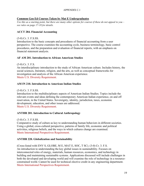#### APPENDIX C.1

#### **Common Gen Ed Courses Taken by Mat E Undergraduates**

*Use this as a starting point, but there are many other options for courses if these do not appeal to you – see rules on page 17-18 for details.*

### **ACCT 284. Financial Accounting**

#### (3-0) Cr. 3. F.S.SS.

Introduction to the basic concepts and procedures of financial accounting from a user perspective. The course examines the accounting cycle, business terminology, basic control procedures, and the preparation and evaluation of financial reports, with an emphasis on financial statement analysis.

#### **AF AM 201. Introduction to African American Studies**

(3-0) Cr. 3. F.S.

An interdisciplinary introduction to the study of African American culture. Includes history, the social sciences, literature, religion, and the arts, as well as conceptual frameworks for investigation and analysis of the African American experience. Meets U.S. Diversity Requirement.

#### **AM IN 210. Introduction to American Indian Studies**

(3-0) Cr. 3. F.S.SS.

Introduction to the multidisciplinary aspects of American Indian Studies. Topics include the relevant events and ideas defining the contemporary American Indian experience, on and off reservation, in the United States. Sovereignty, identity, jurisdiction, taxes, economic development, education, and other issues are addressed. Meets U.S. Diversity Requirement.

#### **ANTHR 201. Introduction to Cultural Anthropology**

(3-0) Cr. 3. F.S.SS.

Comparative study of culture as key to understanding human behaviors in different societies. Using a global, cross-cultural perspective, patterns of family life, economic and political activities, religious beliefs, and the ways in which cultures change are examined. Meets International Perspectives Requirement.

#### **ANTHR 220. Globalization and Sustainability**

(Cross-listed with ENV S, GLOBE, M E, MAT E, SOC, T SC). (3-0) Cr. 3. F.S.

An introduction to understanding the key global issues in sustainability. Focuses on interconnected roles of energy, materials, human resources, economics, and technology in building and maintaining sustainable systems. Applications discussed will include challenges in both the developed and developing world and will examine the role of technology in a resourceconstrained world. Cannot be used for technical elective credit in any engineering department. Meets International Perspectives Requirement.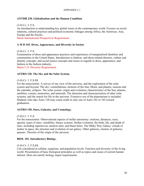#### APPENDIX C.1

#### **ANTHR 230. Globalization and the Human Condition**

#### (3-0) Cr. 3. F.S.

An introduction to understanding key global issues in the contemporary world. Focuses on social relations, cultural practices and political-economic linkages among Africa, the Americas, Asia, Europe and the Pacific.

Meets International Perspectives Requirement.

#### **A M D 165. Dress, Appearance, and Diversity in Society**

#### (3-0) Cr. 3. F.S.

Examination of dress and appearance practices and experiences of marginalized identities and communities in the United States. Introduction to fashion- and dress-related theories, culture and identity concepts, and social justice concepts and issues in regards to dress, appearance, and fashion in the fashion industry.

Meets U.S. Diversity Requirement.

#### **ASTRO 120. The Sky and the Solar System.**

#### (3-0) Cr. 3. F.S.SS.

For the nonscientist. A survey of our view of the universe, and the exploration of the solar system and beyond. The sky: constellations; motions of the Sun, Moon, and planets; seasons and the calendar; eclipses. The solar system: origin and evolution; characteristics of the Sun, planets, satellites, comets, meteorites, and asteroids. The detection and characterization of other solar systems, and the search for life in the universe. Extensive use of the planetarium is included. Students who take Astro 120 may count credit in only one of Astro 102 or 103 toward graduation.

#### **ASTRO 150. Stars, Galaxies, and Cosmology.**

#### (3-0) Cr. 3. F.S.

For the nonscientist. Observational aspects of stellar astronomy: motions, distances, sizes, spectra; types of stars; variability; binary systems. Stellar evolution: the birth, life, and death of stars, including supernovae, neutron stars, and black holes. The Milky Way Galaxy: clouds of matter in space, the structure and evolution of our galaxy. Other galaxies, clusters of galaxies, quasars. Theories of the origin of the universe.

#### **BIOL 101. Introductory Biology.**

#### (3-0) Cr. 3. F.S.SS.

Life considered at cellular, organism, and population levels. Function and diversity of the living world. Presentation of basic biological principles as well as topics and issues of current human interest. Does not satisfy biology major requirements.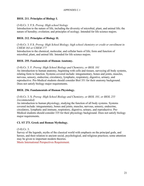## **BIOL 211. Principles of Biology I.**

#### (3-0) Cr. 3. F.S. *Prereq: High school biology*

Introduction to the nature of life, including the diversity of microbial, plant, and animal life; the nature of heredity; evolution; and principles of ecology. Intended for life science majors.

#### **BIOL 212. Principles of Biology II.**

(3-0) Cr. 3. F.S. *Prereq: High School Biology; high school chemistry or credit or enrollment in CHEM 163 or CHEM 177*

Introduction to the chemical, molecular, and cellular basis of life; form and function of microbial, plant, and animal life. Intended for life science majors.

#### **BIOL 255. Fundamentals of Human Anatomy.**

#### (3-0) Cr. 3. F. *Prereq: High School Biology and Chemistry, or BIOL 101*

An introduction to human anatomy, beginning with cells and tissues, surveying all body systems, relating form to function. Systems covered include: integumentary, bones and joints, muscles, nervous, sensory, endocrine, circulatory, lymphatic, respiratory, digestive, urinary, and reproductive. Pre-Medical students should consider Biol 351 for their anatomy background. Does not satisfy biology major requirements.

### **BIOL 256. Fundamentals of Human Physiology.**

### (3-0) Cr. 3. S. *Prereq: High School Biology and Chemistry, or BIOL 101, or BIOL 255 (recommended)*

An introduction to human physiology, studying the function of all body systems. Systems covered include: integumentary, bones and joints, muscles, nervous, sensory, endocrine, circulatory, lymphatic and immune, respiratory, digestive, urinary, and reproductive. Pre-Medical students should consider 335 for their physiology background. Does not satisfy biology major requirements.

#### **CL ST 273. Greek and Roman Mythology.**

#### (3-0) Cr. 3.

Survey of the legends, myths of the classical world with emphasis on the principal gods, and heroes, and their relation to ancient social, psychological, and religious practices; some attention may be given to important modern theories.

Meets International Perspectives Requirement.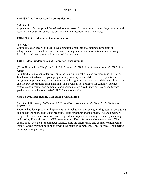### **COMST 211. Interpersonal Communication.**

### (3-0) Cr. 3.

Application of major principles related to interpersonal communication theories, concepts, and research. Emphasis on using interpersonal communication skills effectively.

#### **COMST 214. Professional Communication.**

(3-0) Cr. 3.

Communication theory and skill development in organizational settings. Emphasis on interpersonal skill development, team and meeting facilitation, informational interviewing, individual and team presentations, and self-assessment.

### **COM S 207. Fundamentals of Computer Programming.**

(Cross-listed with MIS). (3-1) Cr. 3. F.S. *Prereq: MATH 150 or placement into MATH 140 or higher*

An introduction to computer programming using an object-oriented programming language. Emphasis on the basics of good programming techniques and style. Extensive practice in designing, implementing, and debugging small programs. Use of abstract data types. Interactive and file I/O. Exceptions/error-handling. This course is not designed for computer science, software engineering, and computer engineering majors. Credit may not be applied toward graduation for both Com S 207/MIS 207 and Com S 227.

#### **COM S 208. Intermediate Computer Programming.**

#### (3-1) Cr. 3. S. *Prereq: MIS/COM S 207, credit or enrollment in MATH 151, MATH 160, or MATH 165*

Intermediate-level programming techniques. Emphasis on designing, writing, testing, debugging, and documenting medium-sized programs. Data structures and their uses. Dynamic memory usage. Inheritance and polymorphism. Algorithm design and efficiency: recursion, searching, and sorting. Event-driven and GUI programming. The software development process. This course is not designed for computer science, software engineering and computer engineering majors. Credit may not be applied toward the major in computer science, software engineering, or computer engineering.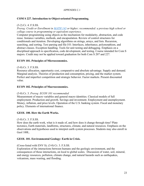#### APPENDIX C.1

## **COM S 227. Introduction to Object-oriented Programming.**

#### (3-2) Cr. 4. F.S.SS.

*Prereq: Credit or Enrollment in [MATH 143](https://catalog.iastate.edu/search/?P=MATH%20143) or higher; recommended: a previous high school or college course in programming or equivalent experience.*

Computer programming using objects as the mechanism for modularity, abstraction, and code reuse. Instance variables, methods, and encapsulation. Review of control structures for conditionals and iteration. Developing algorithms on strings, arrays, and lists. Recursion, searching, and sorting. Text parsing and file I/O. Interfaces, inheritance, polymorphism, and abstract classes. Exception handling. Tools for unit testing and debugging. Emphasis on a disciplined approach to specification, code development, and testing. Course intended for Com S majors. Credit may not be applied toward graduation for both Com S 207 and 227.

### **ECON 101. Principles of Microeconomics.**

#### (3-0) Cr. 3. F.S.SS.

Resource allocation, opportunity cost, comparative and absolute advantage. Supply and demand. Marginal analysis. Theories of production and consumption, pricing, and the market system. Perfect and imperfect competition and strategic behavior. Factor markets. Present discounted value.

### **ECON 102. Principles of Macroeconomics.**

#### (3-0) Cr. 3. *Prereq: ECON 101 recommended*

Measurement of macro variables and general macro identities. Classical models of full employment. Production and growth. Savings and investment. Employment and unemployment. Money, inflation, and price levels. Operation of the U.S. banking system. Fiscal and monetary policy. Elements of international finance.

#### **GEOL 100. How the Earth Works.**

#### (3-0) Cr. 3. F.S.SS.

How does the earth work, what is it made of, and how does it change through time? Plate tectonics, Earth materials, landforms, structures, climate, and natural resources. Emphasis on the observations and hypotheses used to interpret earth system processes. Students may also enroll in Geol 100L.

#### **GEOL 101. Environmental Geology: Earth in Crisis.**

#### (Cross-listed with ENV S). (3-0) Cr. 3. F.S.SS.

Exploration of the interactions between humans and the geologic environment, and the consequences of those interactions, on local to global scales. Discussion of water, soil, mineral, and energy resources, pollution, climate change, and natural hazards such as earthquakes, volcanism, mass wasting, and flooding.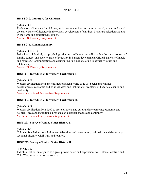#### **HD FS 240. Literature for Children.**

#### (3-0) Cr. 3. F.S.

Evaluation of literature for children, including an emphasis on cultural, racial, ethnic, and social diversity. Roles of literature in the overall development of children. Literature selection and use in the home and educational settings.

Meets U.S. Diversity Requirement.

#### **HD FS 276. Human Sexuality.**

(3-0) Cr. 3. F.S.SS.

Behavioral, biological, and psychological aspects of human sexuality within the social context of family, culture, and society. Role of sexuality in human development. Critical analysis of media and research. Communication and decision-making skills relating to sexuality issues and relationships.

Meets U.S. Diversity Requirement.

#### **HIST 201. Introduction to Western Civilization I.**

(3-0) Cr. 3. F.

Western civilization from ancient Mediterranean world to 1500. Social and cultural developments; economic and political ideas and institutions; problems of historical change and continuity.

Meets International Perspectives Requirement.

#### **HIST 202. Introduction to Western Civilization II.**

(3-0) Cr. 3. S.

Western civilization from 1500 to present. Social and cultural developments; economic and political ideas and institutions; problems of historical change and continuity. Meets International Perspectives Requirement.

#### **HIST 221. Survey of United States History I.**

(3-0) Cr. 3-5. F.

Colonial foundations: revolution, confederation, and constitution; nationalism and democracy; sectional disunity, Civil War, and reunion.

#### **HIST 222. Survey of United States History II.**

(3-0) Cr. 3. S.

Industrialization; emergence as a great power; boom and depression; war, internationalism and Cold War; modern industrial society.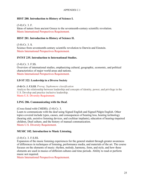#### **HIST 280. Introduction to History of Science I.**

(3-0) Cr. 3. F. Ideas of nature from ancient Greece to the seventeenth-century scientific revolution. Meets International Perspectives Requirement.

#### **HIST 281. Introduction to History of Science II.**

(3-0) Cr. 3. S. Science from seventeenth-century scientific revolution to Darwin and Einstein. Meets International Perspectives Requirement.

#### **INTST 235. Introduction to International Studies.**

(3-0) Cr. 3. F.SS. Overview of international studies, emphasizing cultural, geographic, economic, and political characteristics of major world areas and nations. Meets International Perspectives Requirement.

#### **LD ST 322: [Leadership](http://catalog.iastate.edu/azcourses/ld_st/) in a Diverse Society**

*(3-0) Cr. 3. F.S.SS. Prereq: Sophomore classification* Analyze the relationship between leadership and concepts of identity, power, and privilege in the U.S. Develop and practice inclusive leadership. Meets U.S. Diversity Requirement.

#### **LING 286. Communicating with the Deaf.**

#### (Cross-listed with CMDIS). (3-0) Cr. 3.

Learn to communicate with the deaf using Signed English and Signed Pidgin English. Other topics covered include types, causes, and consequences of hearing loss, hearing technology (hearing aids, assistive listening devices, and cochlear implants), education of hearing-impaired children, Deaf culture, and the history of manual communication. Meets U.S. Diversity Requirement.

#### **MUSIC 102. Introduction to Music Listening.**

#### (3-0) Cr. 3. F.S.SS.

Expansion of the music listening experiences for the general student through greater awareness of differences in techniques of listening, performance media, and materials of the art. The course focuses on the elements of music: rhythm, melody, harmony, form, and style, and how these elements are used in musics of different cultures and time periods. Ability to read or perform music not required.

Meets International Perspectives Requirement.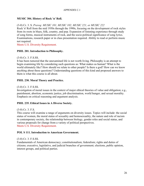#### **MUSIC 304. History of Rock 'n' Roll.**

#### (3-0) Cr. 3. S. *Prereq: MUSIC 101, MUSIC 102, MUSIC 221, or MUSIC 222*

Rock 'n' Roll from the mid 1950s through the 1990s, focusing on the development of rock styles from its roots in blues, folk, country, and pop. Expansion of listening experience through study of song forms, musical instruments of rock, and the socio-political significance of song lyrics. Examinations, research paper or in class presentation required. Ability to read or perform music not required.

Meets U.S. Diversity Requirement.

#### **PHIL 201. Introduction to Philosophy.**

#### (3-0) Cr. 3. F.S.SS.

It has been rumored that the unexamined life is not worth living. Philosophy is an attempt to begin examining life by considering such questions as: What makes us human? What is the world ultimately like? How should we relate to other people? Is there a god? How can we know anything about these questions? Understanding questions of this kind and proposed answers to them is what this course is all about.

#### **PHIL 230. Moral Theory and Practice.**

#### (3-0) Cr. 3. F.S.SS.

Investigation of moral issues in the context of major ethical theories of value and obligation; e.g., punishment, abortion, economic justice, job discrimination, world hunger, and sexual morality. Emphasis on critical reasoning and argument analysis.

#### **PHIL 235. Ethical Issues in A Diverse Society.**

#### (3-0) Cr. 3. F.S.

This course will examine a range of arguments on diversity issues. Topics will include: the social status of women, the moral status of sexuality and homosexuality, the nature and role of racism in contemporary society, the relationship between biology, gender roles and social status, and various proposals for change from a variety of political perspectives. Meets U.S. Diversity Requirement.

#### **POL S 111. Introduction to American Government.**

#### (3-0) Cr. 3. F.S.SS.

Fundamentals of American democracy; constitutionalism; federalism; rights and duties of citizens; executive, legislative, and judicial branches of government; elections, public opinion, interest groups, and political parties.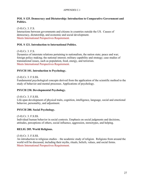#### APPENDIX C.1

#### **POL S 125. Democracy and Dictatorship: Introduction to Comparative Government and Politics.**

(3-0) Cr. 3. F.S.

Interactions between governments and citizens in countries outside the US. Causes of democracy, dictatorship, and economic and social development. Meets International Perspectives Requirement.

## **POL S 121. Introduction to International Politics.**

(3-0) Cr. 3. F.S.

Dynamics of interstate relations pertaining to nationalism, the nation state; peace and war; foreign policy making; the national interest; military capability and strategy; case studies of transnational issues, such as population, food, energy, and terrorism. Meets International Perspectives Requirement.

### **PSYCH 101. Introduction to Psychology.**

(3-0) Cr. 3. F.S.SS.

Fundamental psychological concepts derived from the application of the scientific method to the study of behavior and mental processes. Applications of psychology.

### **PSYCH 230. Developmental Psychology.**

(3-0) Cr. 3. F.S.SS.

Life-span development of physical traits, cognition, intelligence, language, social and emotional behavior, personality, and adjustment.

## **PSYCH 280. Social Psychology.**

(3-0) Cr. 3. F.S.SS. Individual human behavior in social contexts. Emphasis on social judgments and decisions, attitudes, perceptions of others, social influence, aggression, stereotypes, and helping.

## **RELIG 205. World Religions.**

(3-0) Cr. 3. F.S.SS.

An introduction to religious studies – the academic study of religion. Religions from around the world will be discussed, including their myths, rituals, beliefs, values, and social forms. Meets International Perspectives Requirement.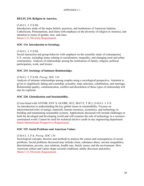#### APPENDIX C.1

#### **RELIG 210. Religion in America.**

#### (3-0) Cr. 3. F.S.SS.

Introductory study of the major beliefs, practices, and institutions of American Judaism, Catholicism, Protestantism, and Islam with emphasis on the diversity of religion in America, and attention to issues of gender, race, and class.

Meets U.S. Diversity Requirement

### **SOC 134. Introduction to Sociology.**

#### (3-0) Cr. 3. F.S.SS.

Social interaction and group behavior with emphasis on the scientific study of contemporary U.S. society, including issues relating to socialization, inequality, and changing rural and urban communities. Analysis of relationships among the institutions of family, religion, political participation, work, and leisure.

#### **SOC 219. Sociology of Intimate Relationships.**

#### (3-0) Cr. 3. F.S.SS. *Prereq: SOC 134*

Analysis of intimate relationships among couples using a sociological perspective. Attention is given to singlehood; dating and courtship; sexuality; mate selection, cohabitation, and marriage. Relationship quality, communication, conflict and dissolution of these types of relationship will also be explored.

#### **SOC 220. Globalization and Sustainability.**

(Cross-listed with ANTHR, ENV S, GLOBE, M E, MAT E, T SC). (3-0) Cr. 3. F.S. An introduction to understanding the key global issues in sustainability. Focuses on interconnected roles of energy, materials, human resources, economics, and technology in building and maintaining sustainable systems. Applications discussed will include challenges in both the developed and developing world and will examine the role of technology in a resourceconstrained world. Cannot be used for technical elective credit in any engineering department. Meets International Perspectives Requirement.

#### **SOC 235. Social Problems and American Values.**

#### (3-0) Cr. 3. F.S. *Prereq: SOC 134*

Sociological concepts, theories and methods to analyze the causes and consequences of social problems. Social problems discussed may include crime, substance abuse, income inequalities, discrimination, poverty, race relations, health care, family issues, and the environment. How American culture and values shape societal conditions, public discourse and policy. Meets U.S. Diversity Requirement.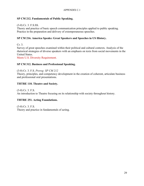## **SP CM 212. Fundamentals of Public Speaking.**

(3-0) Cr. 3. F.S.SS.

Theory and practice of basic speech communication principles applied to public speaking. Practice in the preparation and delivery of extemporaneous speeches.

## **SP CM 216. America Speaks: Great Speakers and Speeches in US History.**

Cr. 3. Survey of great speeches examined within their political and cultural contexts. Analysis of the rhetorical strategies of diverse speakers with an emphasis on texts from social movements in the United States.

Meets U.S. Diversity Requirement.

### **SP CM 312. Business and Professional Speaking.**

(3-0) Cr. 3. F.S. *Prereq: SP CM 212*

Theory, principles, and competency development in the creation of coherent, articulate business and professional oral presentations.

### **THTRE 110. Theatre and Society.**

(3-0) Cr. 3. F.S.

An introduction to Theatre focusing on its relationship with society throughout history.

## **THTRE 251. Acting Foundations.**

(3-0) Cr. 3. F.S. Theory and practice in fundamentals of acting.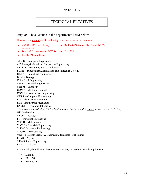#### APPENDIX C.2

## TECHNICAL ELECTIVES

Any 300+ level course in the departments listed below.

However, you **cannot** use the following courses to meet this requirement:

- $\bullet$  490/499/590 course in any department
- M E 484/584 (cross-listed with WLC)
- Biol 307 (cross-listed with W S) Stat 305
- Mat E 391, Mat E 392

**AER E** – Aerospace Engineering **A B E** – Agricultural and Biosystems Engineering **ASTRO** – Astronomy and Astrophysics **BBMB** – Biochemistry, Biophysics, and Molecular Biology **B M E** – Biomedical Engineering **BIOL** – Biology **C E** – Civil Engineering **CH E** – Chemical Engineering **CHEM** – Chemistry **COM S** – Computer Science **CON E** – Construction Engineering **CPR E** – Computer Engineering **E E** – Electrical Engineering **E M** – Engineering Mechanics **ENSCI** – Environmental Science  *(not to be confused with ENV S – Environmental Studies – which cannot be used as a tech elective)* **GEN** – Genetics **GEOL** – Geology **I E** – Industrial Engineering **MATH** – Mathematics **MAT E** – Materials Engineering **M E** – Mechanical Engineering **MICRO** – Microbiology **MSE** – Materials Science & Engineering (graduate-level courses) **PHYS** – Physics **S E** – Software Engineering **STAT** – Statistics

Additionally, the following 200-level courses may be used toward this requirement:

- Math 207
- BME 220
- BME 208X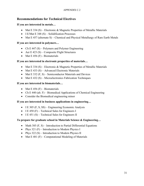## **Recommendations for Technical Electives**

## **If you are interested in metals…**

- Mat E 334 (S) Electronic & Magnetic Properties of Metallic Materials
- I E/Mat E 348  $(S)$  Solidification Processes
- Mat E 457 (alternate S) Chemical and Physical Metallurgy of Rare Earth Metals

## **If you are interested in polymers…**

- Ch E 447  $(S)$  Polymers and Polymer Engineering
- Aer E 423 (S) Composite Flight Structures
- Mat  $E$  456 (F) Biomaterials

## **If you are interested in electronic properties of materials…**

- Mat E 334 (S) Electronic & Magnetic Properties of Metallic Materials
- Mat E 433 (S) Advanced Electronic Materials
- Mat E 332  $(F, S)$  Semiconductor Materials and Devices
- Mat  $E$  432 (S) Microelectronics Fabrication Techniques

## **If you are interested in biomaterials…**

- Mat E 456 (F) Biomaterials
- Ch E 440 (alt. F) Biomedical Applications of Chemical Engineering
- Consider the Biomedical engineering minor

## **If you are interested in business applications in engineering…**

- I E 305  $(F, S, SS)$  Engineering Economic Analysis
- I E 450 (F) Technical Sales for Engineers I
- I E 451 (S) Technical Sales for Engineers II

## **To prepare for graduate school in Materials Science & Engineering…**

- Math 385  $(F, S)$  Introduction to Partial Differential Equations
- Phys  $321$  (F) Introduction to Modern Physics I
- Phys  $322(S)$  Introduction to Modern Physics II
- Mat E 481  $(F)$  Computational Modeling of Materials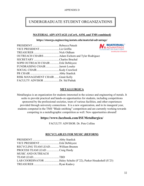## UNDERGRADUATE STUDENT ORGANIZATIONS

#### **MATERIAL ADVANTAGE (ACerS, ASM, and TMS combined)**

#### **https://stuorgs.engineering.iastate.edu/material-advantage/**

| VICE PRESIDENTLiz Griffin                        | The ACerS-ASM-TMS Student Program<br>Fine ACerS-ASM-TMS Student Program<br>Financipies Ele Jumps |
|--------------------------------------------------|--------------------------------------------------------------------------------------------------|
|                                                  | Everything Else Is Imma                                                                          |
| OUTREACH CHAIRS Adam Eichorn and Tyler Rodriguez |                                                                                                  |
|                                                  |                                                                                                  |
| SOPH OUTREACH CHAIR  Erik DeMeyere               |                                                                                                  |
| FUNDRAISING CHAIR Jarrett Loseke                 |                                                                                                  |
|                                                  |                                                                                                  |
|                                                  |                                                                                                  |
| RISK MANAGEMENT CHAIR Grant Kelly                |                                                                                                  |
| FACULTY ADVISOR Dr. Sid Pathak                   |                                                                                                  |

#### **METALLURGICA**

Metallurgica is an organization for students interested in the science and engineering of metals. It seeks to provide practical and hands-on opportunities for students, including competitions sponsored by the professional societies, tours of various facilities, and other experiences provided through university connections. It is a new organization, and in its inaugural year, students competed in the TMS "Blade smithing" competition and are currently working towards competing in a metallographic competition as well. New opportunities abound!

## **https://www.facebook.com/ISUMetallurgica/**

FACULTY ADVISOR: Dr. Pete Collins

#### **RECYCLABLES FOR MUSIC (REFORM)**

| RECYCLING TEAM LEADWilliam Brumm |                                                                |
|----------------------------------|----------------------------------------------------------------|
| PROCESS TEAM LEAD Craig Hardy    |                                                                |
| <b>MUSIC AND OUTREACH</b>        |                                                                |
| TEAM LEADTBD                     |                                                                |
|                                  | LAB COORDINATOR Haley Schultz (F'22), Parker Houdeshell (S'23) |
|                                  |                                                                |

**MATERIAL**<sup>\*</sup> **ADVANTAGE** 

**Everything Else Is Immaterial**